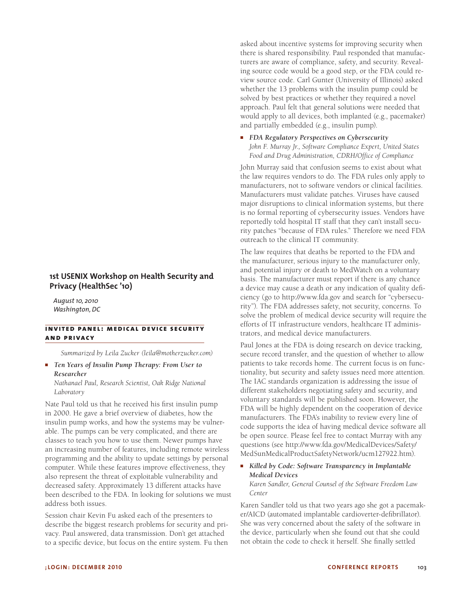# **1st USENIX Workshop on Health Security and Privacy (HealthSec '10)**

*August 10, 2010 Washington, DC*

# **INVITED PANEL: MEDICAL DEVICE SECURITY and privacy**

*Summarized by Leila Zucker (leila@motherzucker.com)*

■ *Ten Years of Insulin Pump Therapy: From User to Researcher*

*Nathanael Paul, Research Scientist, Oak Ridge National Laboratory*

Nate Paul told us that he received his first insulin pump in 2000. He gave a brief overview of diabetes, how the insulin pump works, and how the systems may be vulnerable. The pumps can be very complicated, and there are classes to teach you how to use them. Newer pumps have an increasing number of features, including remote wireless programming and the ability to update settings by personal computer. While these features improve effectiveness, they also represent the threat of exploitable vulnerability and decreased safety. Approximately 13 different attacks have been described to the FDA. In looking for solutions we must address both issues.

Session chair Kevin Fu asked each of the presenters to describe the biggest research problems for security and privacy. Paul answered, data transmission. Don't get attached to a specific device, but focus on the entire system. Fu then

asked about incentive systems for improving security when there is shared responsibility. Paul responded that manufacturers are aware of compliance, safety, and security. Revealing source code would be a good step, or the FDA could review source code. Carl Gunter (University of Illinois) asked whether the 13 problems with the insulin pump could be solved by best practices or whether they required a novel approach. Paul felt that general solutions were needed that would apply to all devices, both implanted (e.g., pacemaker) and partially embedded (e.g., insulin pump).

■ *FDA Regulatory Perspectives on Cybersecurity John F. Murray Jr., Software Compliance Expert, United States Food and Drug Administration, CDRH/Office of Compliance*

John Murray said that confusion seems to exist about what the law requires vendors to do. The FDA rules only apply to manufacturers, not to software vendors or clinical facilities. Manufacturers must validate patches. Viruses have caused major disruptions to clinical information systems, but there is no formal reporting of cybersecurity issues. Vendors have reportedly told hospital IT staff that they can't install security patches "because of FDA rules." Therefore we need FDA outreach to the clinical IT community.

The law requires that deaths be reported to the FDA and the manufacturer, serious injury to the manufacturer only, and potential injury or death to MedWatch on a voluntary basis. The manufacturer must report if there is any chance a device may cause a death or any indication of quality deficiency (go to http://www.fda.gov and search for "cybersecurity"). The FDA addresses safety, not security, concerns. To solve the problem of medical device security will require the efforts of IT infrastructure vendors, healthcare IT administrators, and medical device manufacturers.

Paul Jones at the FDA is doing research on device tracking, secure record transfer, and the question of whether to allow patients to take records home. The current focus is on functionality, but security and safety issues need more attention. The IAC standards organization is addressing the issue of different stakeholders negotiating safety and security, and voluntary standards will be published soon. However, the FDA will be highly dependent on the cooperation of device manufacturers. The FDA's inability to review every line of code supports the idea of having medical device software all be open source. Please feel free to contact Murray with any questions (see http://www.fda.gov/MedicalDevices/Safety/ MedSunMedicalProductSafetyNetwork/ucm127922.htm).

## ■ *Killed by Code: Software Transparency in Implantable Medical Devices Karen Sandler, General Counsel of the Software Freedom Law*

*Center*

Karen Sandler told us that two years ago she got a pacemaker/AICD (automated implantable cardioverter-defibrillator). She was very concerned about the safety of the software in the device, particularly when she found out that she could not obtain the code to check it herself. She finally settled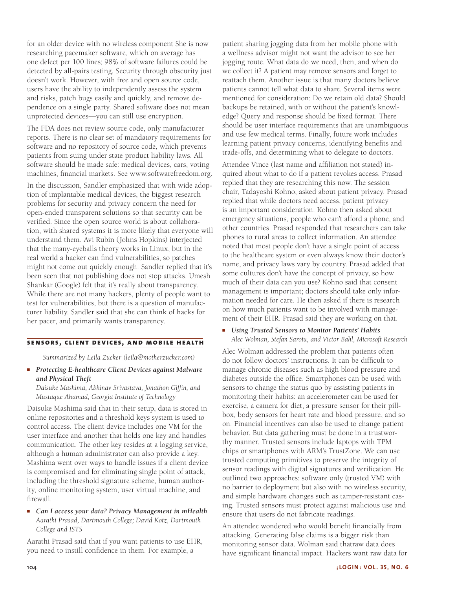for an older device with no wireless component She is now researching pacemaker software, which on average has one defect per 100 lines; 98% of software failures could be detected by all-pairs testing. Security through obscurity just doesn't work. However, with free and open source code, users have the ability to independently assess the system and risks, patch bugs easily and quickly, and remove dependence on a single party. Shared software does not mean unprotected devices—you can still use encryption.

The FDA does not review source code, only manufacturer reports. There is no clear set of mandatory requirements for software and no repository of source code, which prevents patients from suing under state product liability laws. All software should be made safe: medical devices, cars, voting machines, financial markets. See www.softwarefreedom.org.

In the discussion, Sandler emphasized that with wide adoption of implantable medical devices, the biggest research problems for security and privacy concern the need for open-ended transparent solutions so that security can be verified. Since the open source world is about collaboration, with shared systems it is more likely that everyone will understand them. Avi Rubin (Johns Hopkins) interjected that the many-eyeballs theory works in Linux, but in the real world a hacker can find vulnerabilities, so patches might not come out quickly enough. Sandler replied that it's been seen that not publishing does not stop attacks. Umesh Shankar (Google) felt that it's really about transparency. While there are not many hackers, plenty of people want to test for vulnerabilities, but there is a question of manufacturer liability. Sandler said that she can think of hacks for her pacer, and primarily wants transparency.

#### **sensors, client devices, and mobile health**

*Summarized by Leila Zucker (leila@motherzucker.com)*

■ *Protecting E-healthcare Client Devices against Malware and Physical Theft*

*Daisuke Mashima, Abhinav Srivastava, Jonathon Giffin, and Mustaque Ahamad, Georgia Institute of Technology*

Daisuke Mashima said that in their setup, data is stored in online repositories and a threshold keys system is used to control access. The client device includes one VM for the user interface and another that holds one key and handles communication. The other key resides at a logging service, although a human administrator can also provide a key. Mashima went over ways to handle issues if a client device is compromised and for eliminating single point of attack, including the threshold signature scheme, human authority, online monitoring system, user virtual machine, and firewall.

■ *Can I access your data? Privacy Management in mHealth Aarathi Prasad, Dartmouth College; David Kotz, Dartmouth College and ISTS*

Aarathi Prasad said that if you want patients to use EHR, you need to instill confidence in them. For example, a

patient sharing jogging data from her mobile phone with a wellness advisor might not want the advisor to see her jogging route. What data do we need, then, and when do we collect it? A patient may remove sensors and forget to reattach them. Another issue is that many doctors believe patients cannot tell what data to share. Several items were mentioned for consideration: Do we retain old data? Should backups be retained, with or without the patient's knowledge? Query and response should be fixed format. There should be user interface requirements that are unambiguous and use few medical terms. Finally, future work includes learning patient privacy concerns, identifying benefits and trade-offs, and determining what to delegate to doctors.

Attendee Vince (last name and affiliation not stated) inquired about what to do if a patient revokes access. Prasad replied that they are researching this now. The session chair, Tadayoshi Kohno, asked about patient privacy. Prasad replied that while doctors need access, patient privacy is an important consideration. Kohno then asked about emergency situations, people who can't afford a phone, and other countries. Prasad responded that researchers can take phones to rural areas to collect information. An attendee noted that most people don't have a single point of access to the healthcare system or even always know their doctor's name, and privacy laws vary by country. Prasad added that some cultures don't have the concept of privacy, so how much of their data can you use? Kohno said that consent management is important; doctors should take only information needed for care. He then asked if there is research on how much patients want to be involved with management of their EHR. Prasad said they are working on that.

# ■ *Using Trusted Sensors to Monitor Patients' Habits Alec Wolman, Stefan Saroiu, and Victor Bahl, Microsoft Research*

Alec Wolman addressed the problem that patients often do not follow doctors' instructions. It can be difficult to manage chronic diseases such as high blood pressure and diabetes outside the office. Smartphones can be used with sensors to change the status quo by assisting patients in monitoring their habits: an accelerometer can be used for exercise, a camera for diet, a pressure sensor for their pillbox, body sensors for heart rate and blood pressure, and so on. Financial incentives can also be used to change patient behavior. But data gathering must be done in a trustworthy manner. Trusted sensors include laptops with TPM chips or smartphones with ARM's TrustZone. We can use trusted computing primitives to preserve the integrity of sensor readings with digital signatures and verification. He outlined two approaches: software only (trusted VM) with no barrier to deployment but also with no wireless security, and simple hardware changes such as tamper-resistant casing. Trusted sensors must protect against malicious use and ensure that users do not fabricate readings.

An attendee wondered who would benefit financially from attacking. Generating false claims is a bigger risk than monitoring sensor data. Wolman said thatraw data does have significant financial impact. Hackers want raw data for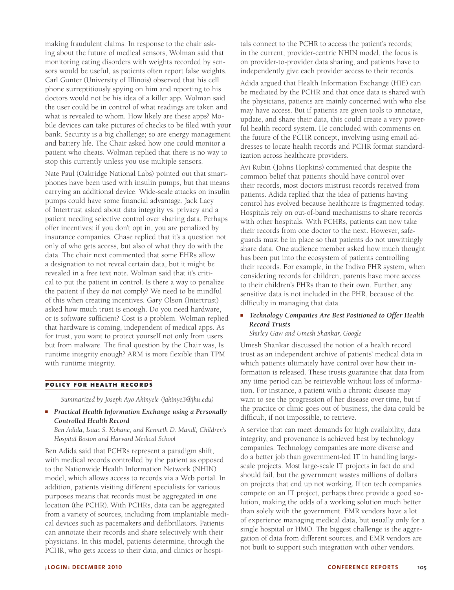making fraudulent claims. In response to the chair asking about the future of medical sensors, Wolman said that monitoring eating disorders with weights recorded by sensors would be useful, as patients often report false weights. Carl Gunter (University of Illinois) observed that his cell phone surreptitiously spying on him and reporting to his doctors would not be his idea of a killer app. Wolman said the user could be in control of what readings are taken and what is revealed to whom. How likely are these apps? Mobile devices can take pictures of checks to be filed with your bank. Security is a big challenge; so are energy management and battery life. The Chair asked how one could monitor a patient who cheats. Wolman replied that there is no way to stop this currently unless you use multiple sensors.

Nate Paul (Oakridge National Labs) pointed out that smartphones have been used with insulin pumps, but that means carrying an additional device. Wide-scale attacks on insulin pumps could have some financial advantage. Jack Lacy of Intertrust asked about data integrity vs. privacy and a patient needing selective control over sharing data. Perhaps offer incentives: if you don't opt in, you are penalized by insurance companies. Chase replied that it's a question not only of who gets access, but also of what they do with the data. The chair next commented that some EHRs allow a designation to not reveal certain data, but it might be revealed in a free text note. Wolman said that it's critical to put the patient in control. Is there a way to penalize the patient if they do not comply? We need to be mindful of this when creating incentives. Gary Olson (Intertrust) asked how much trust is enough. Do you need hardware, or is software sufficient? Cost is a problem. Wolman replied that hardware is coming, independent of medical apps. As for trust, you want to protect yourself not only from users but from malware. The final question by the Chair was, Is runtime integrity enough? ARM is more flexible than TPM with runtime integrity.

#### **policy for health records**

*Summarized by Joseph Ayo Akinyele (jakinye3@jhu.edu)*

■ *Practical Health Information Exchange using a Personally Controlled Health Record*

*Ben Adida, Isaac S. Kohane, and Kenneth D. Mandl, Children's Hospital Boston and Harvard Medical School*

Ben Adida said that PCHRs represent a paradigm shift, with medical records controlled by the patient as opposed to the Nationwide Health Information Network (NHIN) model, which allows access to records via a Web portal. In addition, patients visiting different specialists for various purposes means that records must be aggregated in one location (the PCHR). With PCHRs, data can be aggregated from a variety of sources, including from implantable medical devices such as pacemakers and defibrillators. Patients can annotate their records and share selectively with their physicians. In this model, patients determine, through the PCHR, who gets access to their data, and clinics or hospitals connect to the PCHR to access the patient's records; in the current, provider-centric NHIN model, the focus is on provider-to-provider data sharing, and patients have to independently give each provider access to their records.

Adida argued that Health Information Exchange (HIE) can be mediated by the PCHR and that once data is shared with the physicians, patients are mainly concerned with who else may have access. But if patients are given tools to annotate, update, and share their data, this could create a very powerful health record system. He concluded with comments on the future of the PCHR concept, involving using email addresses to locate health records and PCHR format standardization across healthcare providers.

Avi Rubin (Johns Hopkins) commented that despite the common belief that patients should have control over their records, most doctors mistrust records received from patients. Adida replied that the idea of patients having control has evolved because healthcare is fragmented today. Hospitals rely on out-of-band mechanisms to share records with other hospitals. With PCHRs, patients can now take their records from one doctor to the next. However, safeguards must be in place so that patients do not unwittingly share data. One audience member asked how much thought has been put into the ecosystem of patients controlling their records. For example, in the Indivo PHR system, when considering records for children, parents have more access to their children's PHRs than to their own. Further, any sensitive data is not included in the PHR, because of the difficulty in managing that data.

# ■ *Technology Companies Are Best Positioned to Offer Health Record Trusts*

*Shirley Gaw and Umesh Shankar, Google*

Umesh Shankar discussed the notion of a health record trust as an independent archive of patients' medical data in which patients ultimately have control over how their information is released. These trusts guarantee that data from any time period can be retrievable without loss of information. For instance, a patient with a chronic disease may want to see the progression of her disease over time, but if the practice or clinic goes out of business, the data could be difficult, if not impossible, to retrieve.

A service that can meet demands for high availability, data integrity, and provenance is achieved best by technology companies. Technology companies are more diverse and do a better job than government-led IT in handling largescale projects. Most large-scale IT projects in fact do and should fail, but the government wastes millions of dollars on projects that end up not working. If ten tech companies compete on an IT project, perhaps three provide a good solution, making the odds of a working solution much better than solely with the government. EMR vendors have a lot of experience managing medical data, but usually only for a single hospital or HMO. The biggest challenge is the aggregation of data from different sources, and EMR vendors are not built to support such integration with other vendors.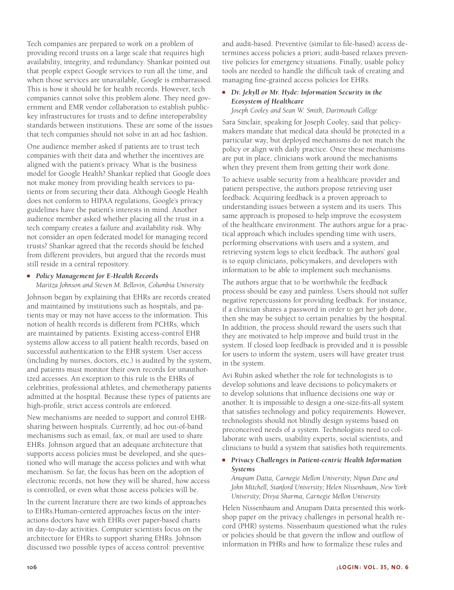Tech companies are prepared to work on a problem of providing record trusts on a large scale that requires high availability, integrity, and redundancy. Shankar pointed out that people expect Google services to run all the time, and when those services are unavailable, Google is embarrassed. This is how it should be for health records. However, tech companies cannot solve this problem alone. They need government and EMR vendor collaboration to establish publickey infrastructures for trusts and to define interoperability standards between institutions. These are some of the issues that tech companies should not solve in an ad hoc fashion.

One audience member asked if patients are to trust tech companies with their data and whether the incentives are aligned with the patient's privacy. What is the business model for Google Health? Shankar replied that Google does not make money from providing health services to patients or from securing their data. Although Google Health does not conform to HIPAA regulations, Google's privacy guidelines have the patient's interests in mind. Another audience member asked whether placing all the trust in a tech company creates a failure and availability risk. Why not consider an open federated model for managing record trusts? Shankar agreed that the records should be fetched from different providers, but argued that the records must still reside in a central repository.

# ■ *Policy Management for E-Health Records*

*Maritza Johnson and Steven M. Bellovin, Columbia University*

Johnson began by explaining that EHRs are records created and maintained by institutions such as hospitals, and patients may or may not have access to the information. This notion of health records is different from PCHRs, which are maintained by patients. Existing access-control EHR systems allow access to all patient health records, based on successful authentication to the EHR system. User access (including by nurses, doctors, etc.) is audited by the system, and patients must monitor their own records for unauthorized accesses. An exception to this rule is the EHRs of celebrities, professional athletes, and chemotherapy patients admitted at the hospital. Because these types of patients are high-profile, strict access controls are enforced.

New mechanisms are needed to support and control EHRsharing between hospitals. Currently, ad hoc out-of-band mechanisms such as email, fax, or mail are used to share EHRs. Johnson argued that an adequate architecture that supports access policies must be developed, and she questioned who will manage the access policies and with what mechanism. So far, the focus has been on the adoption of electronic records, not how they will be shared, how access is controlled, or even what those access policies will be.

In the current literature there are two kinds of approaches to EHRs.Human-centered approaches focus on the interactions doctors have with EHRs over paper-based charts in day-to-day activities. Computer scientists focus on the architecture for EHRs to support sharing EHRs. Johnson discussed two possible types of access control: preventive

and audit-based. Preventive (similar to file-based) access determines access policies a priori; audit-based relaxes preventive policies for emergency situations. Finally, usable policy tools are needed to handle the difficult task of creating and managing fine-grained access policies for EHRs.

## ■ *Dr. Jekyll or Mr. Hyde: Information Security in the Ecosystem of Healthcare*

*Joseph Cooley and Sean W. Smith, Dartmouth College*

Sara Sinclair, speaking for Joseph Cooley, said that policymakers mandate that medical data should be protected in a particular way, but deployed mechanisms do not match the policy or align with daily practice. Once these mechanisms are put in place, clinicians work around the mechanisms when they prevent them from getting their work done.

To achieve usable security from a healthcare provider and patient perspective, the authors propose retrieving user feedback. Acquiring feedback is a proven approach to understanding issues between a system and its users. This same approach is proposed to help improve the ecosystem of the healthcare environment. The authors argue for a practical approach which includes spending time with users, performing observations with users and a system, and retrieving system logs to elicit feedback. The authors' goal is to equip clinicians, policymakers, and developers with information to be able to implement such mechanisms.

The authors argue that to be worthwhile the feedback process should be easy and painless. Users should not suffer negative repercussions for providing feedback. For instance, if a clinician shares a password in order to get her job done, then she may be subject to certain penalties by the hospital. In addition, the process should reward the users such that they are motivated to help improve and build trust in the system. If closed loop feedback is provided and it is possible for users to inform the system, users will have greater trust in the system.

Avi Rubin asked whether the role for technologists is to develop solutions and leave decisions to policymakers or to develop solutions that influence decisions one way or another. It is impossible to design a one-size-fits-all system that satisfies technology and policy requirements. However, technologists should not blindly design systems based on preconceived needs of a system. Technologists need to collaborate with users, usability experts, social scientists, and clinicians to build a system that satisfies both requirements.

# ■ *Privacy Challenges in Patient-centric Health Information Systems*

*Anupam Datta, Carnegie Mellon University; Nipun Dave and John Mitchell, Stanford University; Helen Nissenbaum, New York University; Divya Sharma, Carnegie Mellon University*

Helen Nissenbaum and Anupam Datta presented this workshop paper on the privacy challenges in personal health record (PHR) systems. Nissenbaum questioned what the rules or policies should be that govern the inflow and outflow of information in PHRs and how to formalize these rules and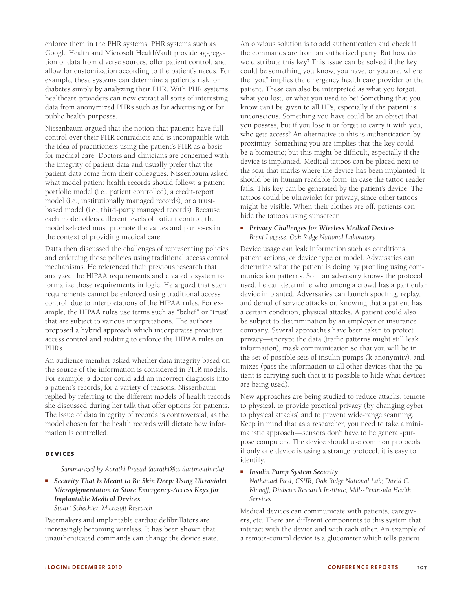enforce them in the PHR systems. PHR systems such as Google Health and Microsoft HealthVault provide aggregation of data from diverse sources, offer patient control, and allow for customization according to the patient's needs. For example, these systems can determine a patient's risk for diabetes simply by analyzing their PHR. With PHR systems, healthcare providers can now extract all sorts of interesting data from anonymized PHRs such as for advertising or for public health purposes.

Nissenbaum argued that the notion that patients have full control over their PHR contradicts and is incompatible with the idea of practitioners using the patient's PHR as a basis for medical care. Doctors and clinicians are concerned with the integrity of patient data and usually prefer that the patient data come from their colleagues. Nissenbaum asked what model patient health records should follow: a patient portfolio model (i.e., patient controlled), a credit-report model (i.e., institutionally managed records), or a trustbased model (i.e., third-party managed records). Because each model offers different levels of patient control, the model selected must promote the values and purposes in the context of providing medical care.

Datta then discussed the challenges of representing policies and enforcing those policies using traditional access control mechanisms. He referenced their previous research that analyzed the HIPAA requirements and created a system to formalize those requirements in logic. He argued that such requirements cannot be enforced using traditional access control, due to interpretations of the HIPAA rules. For example, the HIPAA rules use terms such as "belief" or "trust" that are subject to various interpretations. The authors proposed a hybrid approach which incorporates proactive access control and auditing to enforce the HIPAA rules on PHRs.

An audience member asked whether data integrity based on the source of the information is considered in PHR models. For example, a doctor could add an incorrect diagnosis into a patient's records, for a variety of reasons. Nissenbaum replied by referring to the different models of health records she discussed during her talk that offer options for patients. The issue of data integrity of records is controversial, as the model chosen for the health records will dictate how information is controlled.

# **devices**

*Summarized by Aarathi Prasad (aarathi@cs.dartmouth.edu)*

■ *Security That Is Meant to Be Skin Deep: Using Ultraviolet Micropigmentation to Store Emergency-Access Keys for Implantable Medical Devices Stuart Schechter, Microsoft Research*

Pacemakers and implantable cardiac defibrillators are increasingly becoming wireless. It has been shown that unauthenticated commands can change the device state. An obvious solution is to add authentication and check if the commands are from an authorized party. But how do we distribute this key? This issue can be solved if the key could be something you know, you have, or you are, where the "you" implies the emergency health care provider or the patient. These can also be interpreted as what you forgot, what you lost, or what you used to be! Something that you know can't be given to all HPs, especially if the patient is unconscious. Something you have could be an object that you possess, but if you lose it or forget to carry it with you, who gets access? An alternative to this is authentication by proximity. Something you are implies that the key could be a biometric; but this might be difficult, especially if the device is implanted. Medical tattoos can be placed next to the scar that marks where the device has been implanted. It should be in human readable form, in case the tattoo reader fails. This key can be generated by the patient's device. The tattoos could be ultraviolet for privacy, since other tattoos might be visible. When their clothes are off, patients can hide the tattoos using sunscreen.

#### ■ *Privacy Challenges for Wireless Medical Devices Brent Lagesse, Oak Ridge National Laboratory*

Device usage can leak information such as conditions, patient actions, or device type or model. Adversaries can determine what the patient is doing by profiling using communication patterns. So if an adversary knows the protocol used, he can determine who among a crowd has a particular device implanted. Adversaries can launch spoofing, replay, and denial of service attacks or, knowing that a patient has a certain condition, physical attacks. A patient could also be subject to discrimination by an employer or insurance company. Several approaches have been taken to protect privacy—encrypt the data (traffic patterns might still leak information), mask communication so that you will be in the set of possible sets of insulin pumps (k-anonymity), and mixes (pass the information to all other devices that the patient is carrying such that it is possible to hide what devices are being used).

New approaches are being studied to reduce attacks, remote to physical, to provide practical privacy (by changing cyber to physical attacks) and to prevent wide-range scanning. Keep in mind that as a researcher, you need to take a minimalistic approach—sensors don't have to be general-purpose computers. The device should use common protocols; if only one device is using a strange protocol, it is easy to identify.

■ *Insulin Pump System Security*

*Nathanael Paul, CSIIR, Oak Ridge National Lab; David C. Klonoff, Diabetes Research Institute, Mills-Peninsula Health Services*

Medical devices can communicate with patients, caregivers, etc. There are different components to this system that interact with the device and with each other. An example of a remote-control device is a glucometer which tells patient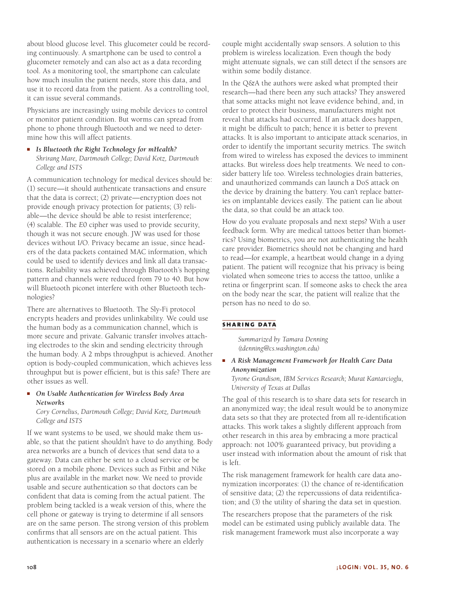about blood glucose level. This glucometer could be recording continuously. A smartphone can be used to control a glucometer remotely and can also act as a data recording tool. As a monitoring tool, the smartphone can calculate how much insulin the patient needs, store this data, and use it to record data from the patient. As a controlling tool, it can issue several commands.

Physicians are increasingly using mobile devices to control or monitor patient condition. But worms can spread from phone to phone through Bluetooth and we need to determine how this will affect patients.

■ *Is Bluetooth the Right Technology for mHealth? Shrirang Mare, Dartmouth College; David Kotz, Dartmouth College and ISTS*

A communication technology for medical devices should be: (1) secure—it should authenticate transactions and ensure that the data is correct; (2) private—encryption does not provide enough privacy protection for patients; (3) reliable—the device should be able to resist interference; (4) scalable. The *E*0 cipher was used to provide security, though it was not secure enough. JW was used for those devices without I/O. Privacy became an issue, since headers of the data packets contained MAC information, which could be used to identify devices and link all data transactions. Reliability was achieved through Bluetooth's hopping pattern and channels were reduced from 79 to 40. But how will Bluetooth piconet interfere with other Bluetooth technologies?

There are alternatives to Bluetooth. The Sly-Fi protocol encrypts headers and provides unlinkability. We could use the human body as a communication channel, which is more secure and private. Galvanic transfer involves attaching electrodes to the skin and sending electricity through the human body. A 2 mbps throughput is achieved. Another option is body-coupled communication, which achieves less throughput but is power efficient, but is this safe? There are other issues as well.

■ *On Usable Authentication for Wireless Body Area Networks*

*Cory Cornelius, Dartmouth College; David Kotz, Dartmouth College and ISTS*

If we want systems to be used, we should make them usable, so that the patient shouldn't have to do anything. Body area networks are a bunch of devices that send data to a gateway. Data can either be sent to a cloud service or be stored on a mobile phone. Devices such as Fitbit and Nike plus are available in the market now. We need to provide usable and secure authentication so that doctors can be confident that data is coming from the actual patient. The problem being tackled is a weak version of this, where the cell phone or gateway is trying to determine if all sensors are on the same person. The strong version of this problem confirms that all sensors are on the actual patient. This authentication is necessary in a scenario where an elderly

couple might accidentally swap sensors. A solution to this problem is wireless localization. Even though the body might attenuate signals, we can still detect if the sensors are within some bodily distance.

In the Q&A the authors were asked what prompted their research—had there been any such attacks? They answered that some attacks might not leave evidence behind, and, in order to protect their business, manufacturers might not reveal that attacks had occurred. If an attack does happen, it might be difficult to patch; hence it is better to prevent attacks. It is also important to anticipate attack scenarios, in order to identify the important security metrics. The switch from wired to wireless has exposed the devices to imminent attacks. But wireless does help treatments. We need to consider battery life too. Wireless technologies drain batteries, and unauthorized commands can launch a DoS attack on the device by draining the battery. You can't replace batteries on implantable devices easily. The patient can lie about the data, so that could be an attack too.

How do you evaluate proposals and next steps? With a user feedback form. Why are medical tattoos better than biometrics? Using biometrics, you are not authenticating the health care provider. Biometrics should not be changing and hard to read—for example, a heartbeat would change in a dying patient. The patient will recognize that his privacy is being violated when someone tries to access the tattoo, unlike a retina or fingerprint scan. If someone asks to check the area on the body near the scar, the patient will realize that the person has no need to do so.

# **sharing data**

*Summarized by Tamara Denning (tdenning@cs.washington.edu)*

■ *A Risk Management Framework for Health Care Data Anonymization*

*Tyrone Grandison, IBM Services Research; Murat Kantarcioglu, University of Texas at Dallas*

The goal of this research is to share data sets for research in an anonymized way; the ideal result would be to anonymize data sets so that they are protected from all re-identification attacks. This work takes a slightly different approach from other research in this area by embracing a more practical approach: not 100% guaranteed privacy, but providing a user instead with information about the amount of risk that is left.

The risk management framework for health care data anonymization incorporates: (1) the chance of re-identification of sensitive data; (2) the repercussions of data reidentification; and (3) the utility of sharing the data set in question.

The researchers propose that the parameters of the risk model can be estimated using publicly available data. The risk management framework must also incorporate a way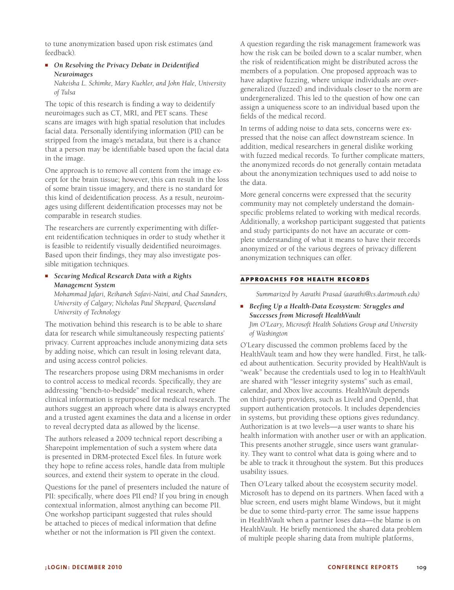to tune anonymization based upon risk estimates (and feedback).

## ■ *On Resolving the Privacy Debate in Deidentified Neuroimages*

*Nakeisha L. Schimke, Mary Kuehler, and John Hale, University of Tulsa*

The topic of this research is finding a way to deidentify neuroimages such as CT, MRI, and PET scans. These scans are images with high spatial resolution that includes facial data. Personally identifying information (PII) can be stripped from the image's metadata, but there is a chance that a person may be identifiable based upon the facial data in the image.

One approach is to remove all content from the image except for the brain tissue; however, this can result in the loss of some brain tissue imagery, and there is no standard for this kind of deidentification process. As a result, neuroimages using different deidentification processes may not be comparable in research studies.

The researchers are currently experimenting with different reidentification techniques in order to study whether it is feasible to reidentify visually deidentified neuroimages. Based upon their findings, they may also investigate possible mitigation techniques.

■ *Securing Medical Research Data with a Rights Management System*

*Mohammad Jafari, Reihaneh Safavi-Naini, and Chad Saunders, University of Calgary; Nicholas Paul Sheppard, Queensland University of Technology*

The motivation behind this research is to be able to share data for research while simultaneously respecting patients' privacy. Current approaches include anonymizing data sets by adding noise, which can result in losing relevant data, and using access control policies.

The researchers propose using DRM mechanisms in order to control access to medical records. Specifically, they are addressing "bench-to-bedside" medical research, where clinical information is repurposed for medical research. The authors suggest an approach where data is always encrypted and a trusted agent examines the data and a license in order to reveal decrypted data as allowed by the license.

The authors released a 2009 technical report describing a Sharepoint implementation of such a system where data is presented in DRM-protected Excel files. In future work they hope to refine access roles, handle data from multiple sources, and extend their system to operate in the cloud.

Questions for the panel of presenters included the nature of PII: specifically, where does PII end? If you bring in enough contextual information, almost anything can become PII. One workshop participant suggested that rules should be attached to pieces of medical information that define whether or not the information is PII given the context.

A question regarding the risk management framework was how the risk can be boiled down to a scalar number, when the risk of reidentification might be distributed across the members of a population. One proposed approach was to have adaptive fuzzing, where unique individuals are overgeneralized (fuzzed) and individuals closer to the norm are undergeneralized. This led to the question of how one can assign a uniqueness score to an individual based upon the fields of the medical record.

In terms of adding noise to data sets, concerns were expressed that the noise can affect downstream science. In addition, medical researchers in general dislike working with fuzzed medical records. To further complicate matters, the anonymized records do not generally contain metadata about the anonymization techniques used to add noise to the data.

More general concerns were expressed that the security community may not completely understand the domainspecific problems related to working with medical records. Additionally, a workshop participant suggested that patients and study participants do not have an accurate or complete understanding of what it means to have their records anonymized or of the various degrees of privacy different anonymization techniques can offer.

# **approaches for health records**

*Summarized by Aarathi Prasad (aarathi@cs.dartmouth.edu)*

■ *Beefing Up a Health-Data Ecosystem: Struggles and Successes from Microsoft HealthVault Jim O'Leary, Microsoft Health Solutions Group and University of Washington*

O'Leary discussed the common problems faced by the HealthVault team and how they were handled. First, he talked about authentication. Security provided by HealthVault is "weak" because the credentials used to log in to HealthVault are shared with "lesser integrity systems" such as email, calendar, and Xbox live accounts. HealthVault depends on third-party providers, such as LiveId and OpenId, that support authentication protocols. It includes dependencies in systems, but providing these options gives redundancy. Authorization is at two levels—a user wants to share his health information with another user or with an application. This presents another struggle, since users want granularity. They want to control what data is going where and to be able to track it throughout the system. But this produces usability issues.

Then O'Leary talked about the ecosystem security model. Microsoft has to depend on its partners. When faced with a blue screen, end users might blame Windows, but it might be due to some third-party error. The same issue happens in HealthVault when a partner loses data—the blame is on HealthVault. He briefly mentioned the shared data problem of multiple people sharing data from multiple platforms,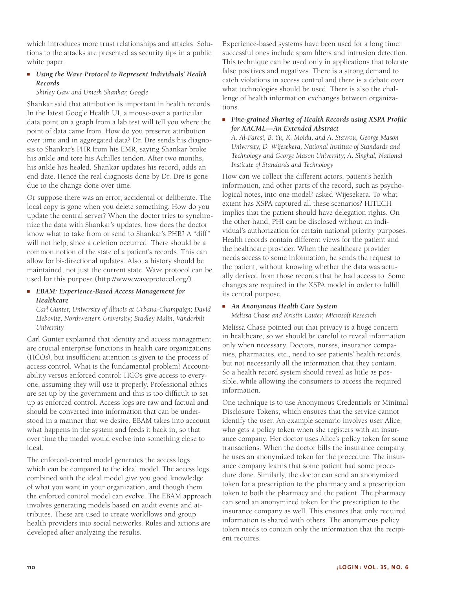which introduces more trust relationships and attacks. Solutions to the attacks are presented as security tips in a public white paper.

# ■ *Using the Wave Protocol to Represent Individuals' Health Records*

*Shirley Gaw and Umesh Shankar, Google*

Shankar said that attribution is important in health records. In the latest Google Health UI, a mouse-over a particular data point on a graph from a lab test will tell you where the point of data came from. How do you preserve attribution over time and in aggregated data? Dr. Dre sends his diagnosis to Shankar's PHR from his EMR, saying Shankar broke his ankle and tore his Achilles tendon. After two months, his ankle has healed. Shankar updates his record, adds an end date. Hence the real diagnosis done by Dr. Dre is gone due to the change done over time.

Or suppose there was an error, accidental or deliberate. The local copy is gone when you delete something. How do you update the central server? When the doctor tries to synchronize the data with Shankar's updates, how does the doctor know what to take from or send to Shankar's PHR? A "diff" will not help, since a deletion occurred. There should be a common notion of the state of a patient's records. This can allow for bi-directional updates. Also, a history should be maintained, not just the current state. Wave protocol can be used for this purpose (http://www.waveprotocol.org/).

# ■ *EBAM: Experience-Based Access Management for Healthcare*

*Carl Gunter, University of Illinois at Urbana-Champaign; David Liebovitz, Northwestern University; Bradley Malin, Vanderbilt University*

Carl Gunter explained that identity and access management are crucial enterprise functions in health care organizations (HCOs), but insufficient attention is given to the process of access control. What is the fundamental problem? Accountability versus enforced control: HCOs give access to everyone, assuming they will use it properly. Professional ethics are set up by the government and this is too difficult to set up as enforced control. Access logs are raw and factual and should be converted into information that can be understood in a manner that we desire. EBAM takes into account what happens in the system and feeds it back in, so that over time the model would evolve into something close to ideal.

The enforced-control model generates the access logs, which can be compared to the ideal model. The access logs combined with the ideal model give you good knowledge of what you want in your organization, and though them the enforced control model can evolve. The EBAM approach involves generating models based on audit events and attributes. These are used to create workflows and group health providers into social networks. Rules and actions are developed after analyzing the results.

Experience-based systems have been used for a long time; successful ones include spam filters and intrusion detection. This technique can be used only in applications that tolerate false positives and negatives. There is a strong demand to catch violations in access control and there is a debate over what technologies should be used. There is also the challenge of health information exchanges between organizations.

■ *Fine-grained Sharing of Health Records using XSPA Profile for XACML—An Extended Abstract*

*A. Al-Faresi, B. Yu, K. Moidu, and A. Stavrou, George Mason University; D. Wijesekera, National Institute of Standards and Technology and George Mason University; A. Singhal, National Institute of Standards and Technology*

How can we collect the different actors, patient's health information, and other parts of the record, such as psychological notes, into one model? asked Wijesekera. To what extent has XSPA captured all these scenarios? HITECH implies that the patient should have delegation rights. On the other hand, PHI can be disclosed without an individual's authorization for certain national priority purposes. Health records contain different views for the patient and the healthcare provider. When the healthcare provider needs access to some information, he sends the request to the patient, without knowing whether the data was actually derived from those records that he had access to. Some changes are required in the XSPA model in order to fulfill its central purpose.

# ■ *An Anonymous Health Care System Melissa Chase and Kristin Lauter, Microsoft Research*

Melissa Chase pointed out that privacy is a huge concern in healthcare, so we should be careful to reveal information only when necessary. Doctors, nurses, insurance companies, pharmacies, etc., need to see patients' health records, but not necessarily all the information that they contain. So a health record system should reveal as little as possible, while allowing the consumers to access the required information.

One technique is to use Anonymous Credentials or Minimal Disclosure Tokens, which ensures that the service cannot identify the user. An example scenario involves user Alice, who gets a policy token when she registers with an insurance company. Her doctor uses Alice's policy token for some transactions. When the doctor bills the insurance company, he uses an anonymized token for the procedure. The insurance company learns that some patient had some procedure done. Similarly, the doctor can send an anonymized token for a prescription to the pharmacy and a prescription token to both the pharmacy and the patient. The pharmacy can send an anonymized token for the prescription to the insurance company as well. This ensures that only required information is shared with others. The anonymous policy token needs to contain only the information that the recipient requires.